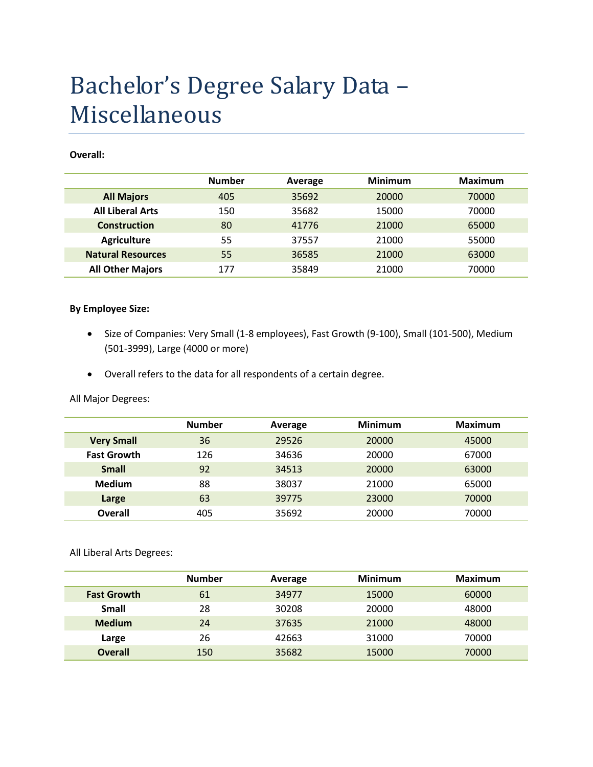# Bachelor's Degree Salary Data – Miscellaneous

#### **Overall:**

|                          | <b>Number</b> | Average | <b>Minimum</b> | <b>Maximum</b> |
|--------------------------|---------------|---------|----------------|----------------|
| <b>All Majors</b>        | 405           | 35692   | 20000          | 70000          |
| <b>All Liberal Arts</b>  | 150           | 35682   | 15000          | 70000          |
| <b>Construction</b>      | 80            | 41776   | 21000          | 65000          |
| <b>Agriculture</b>       | 55            | 37557   | 21000          | 55000          |
| <b>Natural Resources</b> | 55            | 36585   | 21000          | 63000          |
| <b>All Other Majors</b>  | 177           | 35849   | 21000          | 70000          |

#### **By Employee Size:**

- Size of Companies: Very Small (1-8 employees), Fast Growth (9-100), Small (101-500), Medium (501-3999), Large (4000 or more)
- Overall refers to the data for all respondents of a certain degree.

All Major Degrees:

|                    | <b>Number</b> | Average | <b>Minimum</b> | Maximum |
|--------------------|---------------|---------|----------------|---------|
| <b>Very Small</b>  | 36            | 29526   | 20000          | 45000   |
| <b>Fast Growth</b> | 126           | 34636   | 20000          | 67000   |
| <b>Small</b>       | 92            | 34513   | 20000          | 63000   |
| <b>Medium</b>      | 88            | 38037   | 21000          | 65000   |
| Large              | 63            | 39775   | 23000          | 70000   |
| <b>Overall</b>     | 405           | 35692   | 20000          | 70000   |

All Liberal Arts Degrees:

|                    | <b>Number</b> | Average | <b>Minimum</b> | <b>Maximum</b> |
|--------------------|---------------|---------|----------------|----------------|
| <b>Fast Growth</b> | 61            | 34977   | 15000          | 60000          |
| <b>Small</b>       | 28            | 30208   | 20000          | 48000          |
| <b>Medium</b>      | 24            | 37635   | 21000          | 48000          |
| Large              | 26            | 42663   | 31000          | 70000          |
| <b>Overall</b>     | 150           | 35682   | 15000          | 70000          |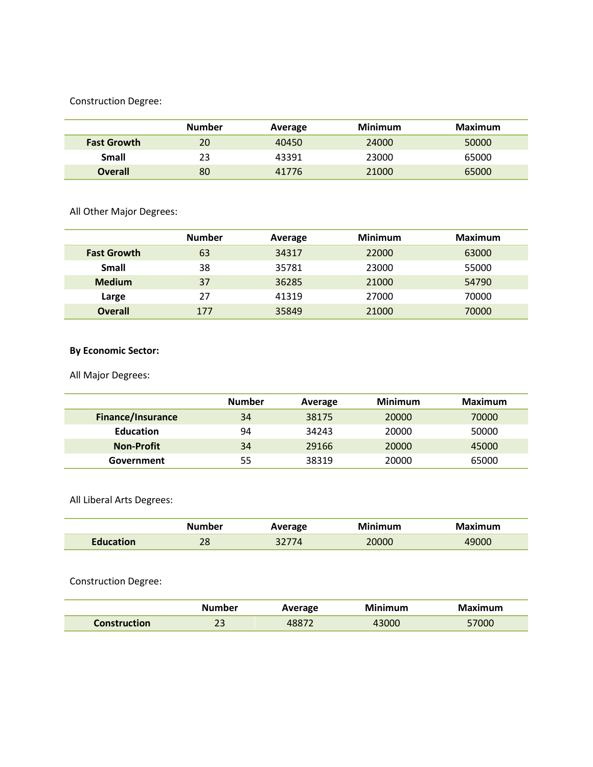### Construction Degree:

|                    | <b>Number</b> | Average | Minimum | Maximum |
|--------------------|---------------|---------|---------|---------|
| <b>Fast Growth</b> | 20            | 40450   | 24000   | 50000   |
| Small              | 23            | 43391   | 23000   | 65000   |
| <b>Overall</b>     | 80            | 41776   | 21000   | 65000   |

All Other Major Degrees:

|                    | <b>Number</b> | Average | <b>Minimum</b> | Maximum |
|--------------------|---------------|---------|----------------|---------|
| <b>Fast Growth</b> | 63            | 34317   | 22000          | 63000   |
| <b>Small</b>       | 38            | 35781   | 23000          | 55000   |
| <b>Medium</b>      | 37            | 36285   | 21000          | 54790   |
| Large              | 27            | 41319   | 27000          | 70000   |
| <b>Overall</b>     | 177           | 35849   | 21000          | 70000   |

## **By Economic Sector:**

All Major Degrees:

|                          | <b>Number</b> | Average | <b>Minimum</b> | <b>Maximum</b> |
|--------------------------|---------------|---------|----------------|----------------|
| <b>Finance/Insurance</b> | 34            | 38175   | 20000          | 70000          |
| <b>Education</b>         | 94            | 34243   | 20000          | 50000          |
| <b>Non-Profit</b>        | 34            | 29166   | 20000          | 45000          |
| Government               | 55            | 38319   | 20000          | 65000          |

All Liberal Arts Degrees:

|           | Number | Average | Minimum | laximum |
|-----------|--------|---------|---------|---------|
| Fducation | 28     |         | 20000   | 19000   |

Construction Degree:

|                     | Number                  | Average | Minimum | Maximum |
|---------------------|-------------------------|---------|---------|---------|
| <b>Construction</b> | $\mathbin{\lnot}$<br>49 | 4887    | 43000   | 57000   |